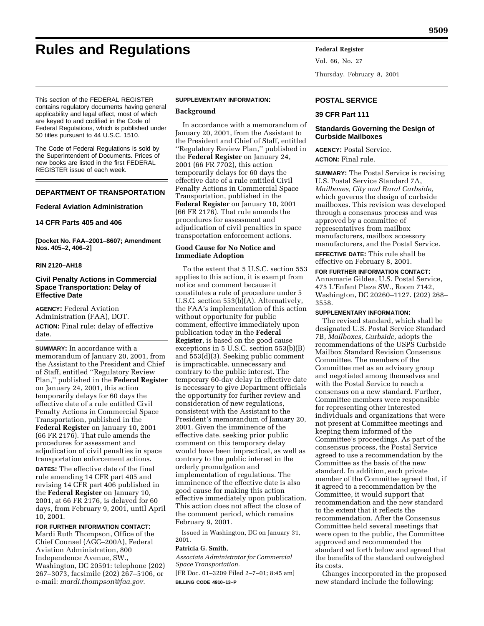# **Rules and Regulations Federal Register**

Vol. 66, No. 27 Thursday, February 8, 2001

This section of the FEDERAL REGISTER contains regulatory documents having general applicability and legal effect, most of which are keyed to and codified in the Code of Federal Regulations, which is published under 50 titles pursuant to 44 U.S.C. 1510.

The Code of Federal Regulations is sold by the Superintendent of Documents. Prices of new books are listed in the first FEDERAL REGISTER issue of each week.

# **DEPARTMENT OF TRANSPORTATION**

#### **Federal Aviation Administration**

#### **14 CFR Parts 405 and 406**

**[Docket No. FAA–2001–8607; Amendment Nos. 405–2, 406–2]**

## **RIN 2120–AH18**

## **Civil Penalty Actions in Commercial Space Transportation: Delay of Effective Date**

**AGENCY:** Federal Aviation Administration (FAA), DOT.

**ACTION:** Final rule; delay of effective date.

**SUMMARY:** In accordance with a memorandum of January 20, 2001, from the Assistant to the President and Chief of Staff, entitled ''Regulatory Review Plan,'' published in the **Federal Register** on January 24, 2001, this action temporarily delays for 60 days the effective date of a rule entitled Civil Penalty Actions in Commercial Space Transportation, published in the **Federal Register** on January 10, 2001 (66 FR 2176). That rule amends the procedures for assessment and adjudication of civil penalties in space transportation enforcement actions.

**DATES:** The effective date of the final rule amending 14 CFR part 405 and revising 14 CFR part 406 published in the **Federal Register** on January 10, 2001, at 66 FR 2176, is delayed for 60 days, from February 9, 2001, until April 10, 2001.

# **FOR FURTHER INFORMATION CONTACT:**

Mardi Ruth Thompson, Office of the Chief Counsel (AGC–200A), Federal Aviation Administration, 800 Independence Avenue, SW., Washington, DC 20591: telephone (202) 267–3073, facsimile (202) 267–5106, or e-mail: *mardi.thompson@faa.gov.*

#### **SUPPLEMENTARY INFORMATION:**

## **Background**

In accordance with a memorandum of January 20, 2001, from the Assistant to the President and Chief of Staff, entitled ''Regulatory Review Plan,'' published in the **Federal Register** on January 24, 2001 (66 FR 7702), this action temporarily delays for 60 days the effective date of a rule entitled Civil Penalty Actions in Commercial Space Transportation, published in the **Federal Register** on January 10, 2001 (66 FR 2176). That rule amends the procedures for assessment and adjudication of civil penalties in space transportation enforcement actions.

## **Good Cause for No Notice and Immediate Adoption**

To the extent that 5 U.S.C. section 553 applies to this action, it is exempt from notice and comment because it constitutes a rule of procedure under 5 U.S.C. section 553(b)(A). Alternatively, the FAA's implementation of this action without opportunity for public comment, effective immediately upon publication today in the **Federal Register**, is based on the good cause exceptions in 5 U.S.C. section 553(b)(B) and 553(d)(3). Seeking public comment is impracticable, unnecessary and contrary to the public interest. The temporary 60-day delay in effective date is necessary to give Department officials the opportunity for further review and consideration of new regulations, consistent with the Assistant to the President's memorandum of January 20, 2001. Given the imminence of the effective date, seeking prior public comment on this temporary delay would have been impractical, as well as contrary to the public interest in the orderly promulgation and implementation of regulations. The imminence of the effective date is also good cause for making this action effective immediately upon publication. This action does not affect the close of the comment period, which remains February 9, 2001.

Issued in Washington, DC on January 31, 2001.

#### **Patricia G. Smith,**

*Associate Administrator for Commercial Space Transportation.*

[FR Doc. 01–3209 Filed 2–7–01; 8:45 am] **BILLING CODE 4910–13–P**

#### **POSTAL SERVICE**

#### **39 CFR Part 111**

## **Standards Governing the Design of Curbside Mailboxes**

#### **AGENCY:** Postal Service.

**ACTION:** Final rule.

**SUMMARY:** The Postal Service is revising U.S. Postal Service Standard 7A, *Mailboxes, City and Rural Curbside,* which governs the design of curbside mailboxes. This revision was developed through a consensus process and was approved by a committee of representatives from mailbox manufacturers, mailbox accessory manufacturers, and the Postal Service.

**EFFECTIVE DATE:** This rule shall be effective on February 8, 2001.

**FOR FURTHER INFORMATION CONTACT:** Annamarie Gildea, U.S. Postal Service, 475 L'Enfant Plaza SW., Room 7142, Washington, DC 20260–1127. (202) 268– 3558.

#### **SUPPLEMENTARY INFORMATION:**

The revised standard, which shall be designated U.S. Postal Service Standard 7B, *Mailboxes, Curbside,* adopts the recommendations of the USPS Curbside Mailbox Standard Revision Consensus Committee. The members of the Committee met as an advisory group and negotiated among themselves and with the Postal Service to reach a consensus on a new standard. Further, Committee members were responsible for representing other interested individuals and organizations that were not present at Committee meetings and keeping them informed of the Committee's proceedings. As part of the consensus process, the Postal Service agreed to use a recommendation by the Committee as the basis of the new standard. In addition, each private member of the Committee agreed that, if it agreed to a recommendation by the Committee, it would support that recommendation and the new standard to the extent that it reflects the recommendation. After the Consensus Committee held several meetings that were open to the public, the Committee approved and recommended the standard set forth below and agreed that the benefits of the standard outweighed its costs.

Changes incorporated in the proposed new standard include the following: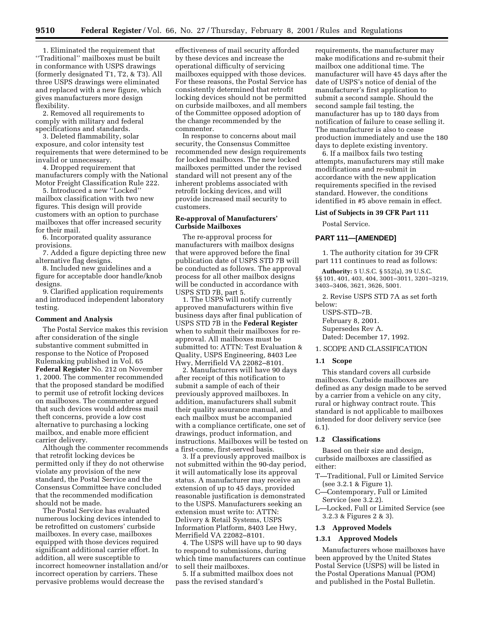1. Eliminated the requirement that ''Traditional'' mailboxes must be built in conformance with USPS drawings (formerly designated T1, T2, & T3). All three USPS drawings were eliminated and replaced with a new figure, which gives manufacturers more design flexibility.

2. Removed all requirements to comply with military and federal specifications and standards.

3. Deleted flammability, solar exposure, and color intensity test requirements that were determined to be invalid or unnecessary.

4. Dropped requirement that manufacturers comply with the National Motor Freight Classification Rule 222.

5. Introduced a new ''Locked'' mailbox classification with two new figures. This design will provide customers with an option to purchase mailboxes that offer increased security for their mail.

6. Incorporated quality assurance provisions.

7. Added a figure depicting three new alternative flag designs.

8. Included new guidelines and a figure for acceptable door handle/knob designs.

9. Clarified application requirements and introduced independent laboratory testing.

#### **Comment and Analysis**

The Postal Service makes this revision after consideration of the single substantive comment submitted in response to the Notice of Proposed Rulemaking published in Vol. 65 **Federal Register** No. 212 on November 1, 2000. The commenter recommended that the proposed standard be modified to permit use of retrofit locking devices on mailboxes. The commenter argued that such devices would address mail theft concerns, provide a low cost alternative to purchasing a locking mailbox, and enable more efficient carrier delivery.

Although the commenter recommends that retrofit locking devices be permitted only if they do not otherwise violate any provision of the new standard, the Postal Service and the Consensus Committee have concluded that the recommended modification should not be made.

The Postal Service has evaluated numerous locking devices intended to be retrofitted on customers' curbside mailboxes. In every case, mailboxes equipped with those devices required significant additional carrier effort. In addition, all were susceptible to incorrect homeowner installation and/or incorrect operation by carriers. These pervasive problems would decrease the

effectiveness of mail security afforded by these devices and increase the operational difficulty of servicing mailboxes equipped with those devices. For these reasons, the Postal Service has consistently determined that retrofit locking devices should not be permitted on curbside mailboxes, and all members of the Committee opposed adoption of the change recommended by the commenter.

In response to concerns about mail security, the Consensus Committee recommended new design requirements for locked mailboxes. The new locked mailboxes permitted under the revised standard will not present any of the inherent problems associated with retrofit locking devices, and will provide increased mail security to customers.

### **Re-approval of Manufacturers' Curbside Mailboxes**

The re-approval process for manufacturers with mailbox designs that were approved before the final publication date of USPS STD 7B will be conducted as follows. The approval process for all other mailbox designs will be conducted in accordance with USPS STD 7B, part 5.

1. The USPS will notify currently approved manufacturers within five business days after final publication of USPS STD 7B in the **Federal Register** when to submit their mailboxes for reapproval. All mailboxes must be submitted to: ATTN: Test Evaluation & Quality, USPS Engineering, 8403 Lee Hwy, Merrifield VA 22082–8101.

2. Manufacturers will have 90 days after receipt of this notification to submit a sample of each of their previously approved mailboxes. In addition, manufacturers shall submit their quality assurance manual, and each mailbox must be accompanied with a compliance certificate, one set of drawings, product information, and instructions. Mailboxes will be tested on a first-come, first-served basis.

3. If a previously approved mailbox is not submitted within the 90-day period, it will automatically lose its approval status. A manufacturer may receive an extension of up to 45 days, provided reasonable justification is demonstrated to the USPS. Manufacturers seeking an extension must write to: ATTN: Delivery & Retail Systems, USPS Information Platform, 8403 Lee Hwy, Merrifield VA 22082–8101.

4. The USPS will have up to 90 days to respond to submissions, during which time manufacturers can continue to sell their mailboxes.

5. If a submitted mailbox does not pass the revised standard's

requirements, the manufacturer may make modifications and re-submit their mailbox one additional time. The manufacturer will have 45 days after the date of USPS's notice of denial of the manufacturer's first application to submit a second sample. Should the second sample fail testing, the manufacturer has up to 180 days from notification of failure to cease selling it. The manufacturer is also to cease production immediately and use the 180 days to deplete existing inventory.

6. If a mailbox fails two testing attempts, manufacturers may still make modifications and re-submit in accordance with the new application requirements specified in the revised standard. However, the conditions identified in #5 above remain in effect.

## **List of Subjects in 39 CFR Part 111**

Postal Service.

## **PART 111—[AMENDED]**

1. The authority citation for 39 CFR part 111 continues to read as follows:

**Authority:** 5 U.S.C. § 552(a), 39 U.S.C. §§ 101, 401, 403, 404, 3001–3011, 3201–3219, 3403–3406, 3621, 3626, 5001.

2. Revise USPS STD 7A as set forth below:

USPS-STD–7B. February 8, 2001. Supersedes Rev A. Dated: December 17, 1992.

# 1. SCOPE AND CLASSIFICATION

#### **1.1 Scope**

This standard covers all curbside mailboxes. Curbside mailboxes are defined as any design made to be served by a carrier from a vehicle on any city, rural or highway contract route. This standard is not applicable to mailboxes intended for door delivery service (see 6.1).

#### **1.2 Classifications**

Based on their size and design, curbside mailboxes are classified as either:

- T—Traditional, Full or Limited Service (see 3.2.1 & Figure 1).
- C—Contemporary, Full or Limited Service (see 3.2.2).
- L—Locked, Full or Limited Service (see 3.2.3 & Figures 2 & 3).

# **1.3 Approved Models**

## **1.3.1 Approved Models**

Manufacturers whose mailboxes have been approved by the United States Postal Service (USPS) will be listed in the Postal Operations Manual (POM) and published in the Postal Bulletin.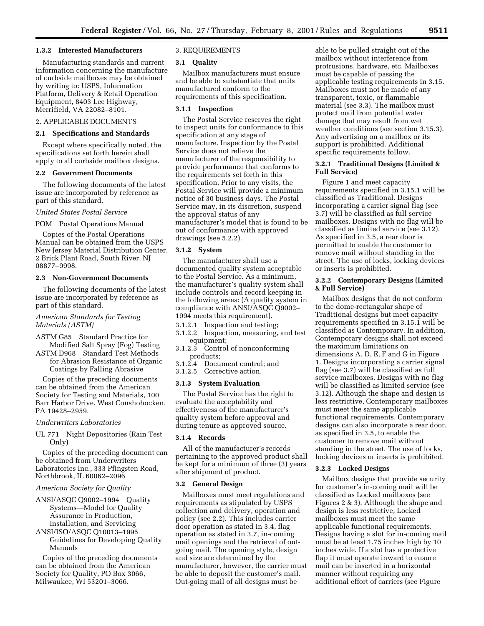#### **1.3.2 Interested Manufacturers**

Manufacturing standards and current information concerning the manufacture of curbside mailboxes may be obtained by writing to: USPS, Information Platform, Delivery & Retail Operation Equipment, 8403 Lee Highway, Merrifield, VA 22082–8101.

# 2. APPLICABLE DOCUMENTS

## **2.1 Specifications and Standards**

Except where specifically noted, the specifications set forth herein shall apply to all curbside mailbox designs.

#### **2.2 Government Documents**

The following documents of the latest issue are incorporated by reference as part of this standard.

#### *United States Postal Service*

POM Postal Operations Manual

Copies of the Postal Operations Manual can be obtained from the USPS New Jersey Material Distribution Center, 2 Brick Plant Road, South River, NJ 08877–9998.

## **2.3 Non-Government Documents**

The following documents of the latest issue are incorporated by reference as part of this standard.

## *American Standards for Testing Materials (ASTM)*

- ASTM G85 Standard Practice for Modified Salt Spray (Fog) Testing
- ASTM D968 Standard Test Methods for Abrasion Resistance of Organic Coatings by Falling Abrasive

Copies of the preceding documents can be obtained from the American Society for Testing and Materials, 100 Barr Harbor Drive, West Conshohocken, PA 19428–2959.

#### *Underwriters Laboratories*

UL 771 Night Depositories (Rain Test Only)

Copies of the preceding document can be obtained from Underwriters Laboratories Inc., 333 Pfingsten Road, Northbrook, IL 60062–2096

#### *American Society for Quality*

ANSI/ASQC Q9002–1994 Quality Systems—Model for Quality Assurance in Production, Installation, and Servicing

ANSI/ISO/ASQC Q10013–1995 Guidelines for Developing Quality Manuals

Copies of the preceding documents can be obtained from the American Society for Quality, PO Box 3066, Milwaukee, WI 53201–3066.

## 3. REQUIREMENTS

#### **3.1 Quality**

Mailbox manufacturers must ensure and be able to substantiate that units manufactured conform to the requirements of this specification.

## **3.1.1 Inspection**

The Postal Service reserves the right to inspect units for conformance to this specification at any stage of manufacture. Inspection by the Postal Service does not relieve the manufacturer of the responsibility to provide performance that conforms to the requirements set forth in this specification. Prior to any visits, the Postal Service will provide a minimum notice of 30 business days. The Postal Service may, in its discretion, suspend the approval status of any manufacturer's model that is found to be out of conformance with approved drawings (see 5.2.2).

#### **3.1.2 System**

The manufacturer shall use a documented quality system acceptable to the Postal Service. As a minimum, the manufacturer's quality system shall include controls and record keeping in the following areas: (A quality system in compliance with ANSI/ASQC Q9002– 1994 meets this requirement).

- 3.1.2.1 Inspection and testing;
- 3.1.2.2 Inspection, measuring, and test equipment;
- 3.1.2.3 Control of nonconforming products;
- 3.1.2.4 Document control; and
- 3.1.2.5 Corrective action.

#### **3.1.3 System Evaluation**

The Postal Service has the right to evaluate the acceptability and effectiveness of the manufacturer's quality system before approval and during tenure as approved source.

#### **3.1.4 Records**

All of the manufacturer's records pertaining to the approved product shall be kept for a minimum of three (3) years after shipment of product.

#### **3.2 General Design**

Mailboxes must meet regulations and requirements as stipulated by USPS collection and delivery, operation and policy (see 2.2). This includes carrier door operation as stated in 3.4, flag operation as stated in 3.7, in-coming mail openings and the retrieval of outgoing mail. The opening style, design and size are determined by the manufacturer, however, the carrier must be able to deposit the customer's mail. Out-going mail of all designs must be

able to be pulled straight out of the mailbox without interference from protrusions, hardware, etc. Mailboxes must be capable of passing the applicable testing requirements in 3.15. Mailboxes must not be made of any transparent, toxic, or flammable material (see 3.3). The mailbox must protect mail from potential water damage that may result from wet weather conditions (see section 3.15.3). Any advertising on a mailbox or its support is prohibited. Additional specific requirements follow.

## **3.2.1 Traditional Designs (Limited & Full Service)**

Figure 1 and meet capacity requirements specified in 3.15.1 will be classified as Traditional. Designs incorporating a carrier signal flag (see 3.7) will be classified as full service mailboxes. Designs with no flag will be classified as limited service (see 3.12). As specified in 3.5, a rear door is permitted to enable the customer to remove mail without standing in the street. The use of locks, locking devices or inserts is prohibited.

#### **3.2.2 Contemporary Designs (Limited & Full Service)**

Mailbox designs that do not conform to the dome-rectangular shape of Traditional designs but meet capacity requirements specified in 3.15.1 will be classified as Contemporary. In addition, Contemporary designs shall not exceed the maximum limitations on dimensions A, D, E, F and G in Figure 1. Designs incorporating a carrier signal flag (see 3.7) will be classified as full service mailboxes. Designs with no flag will be classified as limited service (see 3.12). Although the shape and design is less restrictive, Contemporary mailboxes must meet the same applicable functional requirements. Contemporary designs can also incorporate a rear door, as specified in 3.5, to enable the customer to remove mail without standing in the street. The use of locks, locking devices or inserts is prohibited.

## **3.2.3 Locked Designs**

Mailbox designs that provide security for customer's in-coming mail will be classified as Locked mailboxes (see Figures 2 & 3). Although the shape and design is less restrictive, Locked mailboxes must meet the same applicable functional requirements. Designs having a slot for in-coming mail must be at least 1.75 inches high by 10 inches wide. If a slot has a protective flap it must operate inward to ensure mail can be inserted in a horizontal manner without requiring any additional effort of carriers (see Figure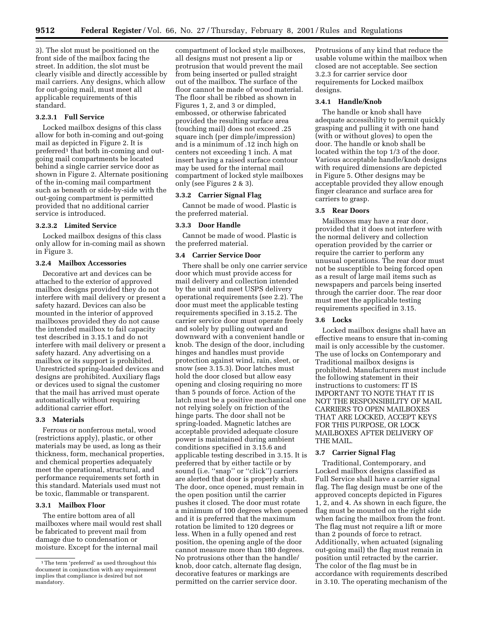3). The slot must be positioned on the front side of the mailbox facing the street. In addition, the slot must be clearly visible and directly accessible by mail carriers. Any designs, which allow for out-going mail, must meet all applicable requirements of this standard.

## **3.2.3.1 Full Service**

Locked mailbox designs of this class allow for both in-coming and out-going mail as depicted in Figure 2. It is preferred<sup>1</sup> that both in-coming and outgoing mail compartments be located behind a single carrier service door as shown in Figure 2. Alternate positioning of the in-coming mail compartment such as beneath or side-by-side with the out-going compartment is permitted provided that no additional carrier service is introduced.

#### **3.2.3.2 Limited Service**

Locked mailbox designs of this class only allow for in-coming mail as shown in Figure 3.

#### **3.2.4 Mailbox Accessories**

Decorative art and devices can be attached to the exterior of approved mailbox designs provided they do not interfere with mail delivery or present a safety hazard. Devices can also be mounted in the interior of approved mailboxes provided they do not cause the intended mailbox to fail capacity test described in 3.15.1 and do not interfere with mail delivery or present a safety hazard. Any advertising on a mailbox or its support is prohibited. Unrestricted spring-loaded devices and designs are prohibited. Auxiliary flags or devices used to signal the customer that the mail has arrived must operate automatically without requiring additional carrier effort.

## **3.3 Materials**

Ferrous or nonferrous metal, wood (restrictions apply), plastic, or other materials may be used, as long as their thickness, form, mechanical properties, and chemical properties adequately meet the operational, structural, and performance requirements set forth in this standard. Materials used must not be toxic, flammable or transparent.

### **3.3.1 Mailbox Floor**

The entire bottom area of all mailboxes where mail would rest shall be fabricated to prevent mail from damage due to condensation or moisture. Except for the internal mail

compartment of locked style mailboxes, all designs must not present a lip or protrusion that would prevent the mail from being inserted or pulled straight out of the mailbox. The surface of the floor cannot be made of wood material. The floor shall be ribbed as shown in Figures 1, 2, and 3 or dimpled, embossed, or otherwise fabricated provided the resulting surface area (touching mail) does not exceed .25 square inch (per dimple/impression) and is a minimum of .12 inch high on centers not exceeding 1 inch. A mat insert having a raised surface contour may be used for the internal mail compartment of locked style mailboxes only (see Figures 2 & 3).

#### **3.3.2 Carrier Signal Flag**

Cannot be made of wood. Plastic is the preferred material.

#### **3.3.3 Door Handle**

Cannot be made of wood. Plastic is the preferred material.

#### **3.4 Carrier Service Door**

There shall be only one carrier service door which must provide access for mail delivery and collection intended by the unit and meet USPS delivery operational requirements (see 2.2). The door must meet the applicable testing requirements specified in 3.15.2. The carrier service door must operate freely and solely by pulling outward and downward with a convenient handle or knob. The design of the door, including hinges and handles must provide protection against wind, rain, sleet, or snow (see 3.15.3). Door latches must hold the door closed but allow easy opening and closing requiring no more than 5 pounds of force. Action of the latch must be a positive mechanical one not relying solely on friction of the hinge parts. The door shall not be spring-loaded. Magnetic latches are acceptable provided adequate closure power is maintained during ambient conditions specified in 3.15.6 and applicable testing described in 3.15. It is preferred that by either tactile or by sound (i.e. ''snap'' or ''click'') carriers are alerted that door is properly shut. The door, once opened, must remain in the open position until the carrier pushes it closed. The door must rotate a minimum of 100 degrees when opened and it is preferred that the maximum rotation be limited to 120 degrees or less. When in a fully opened and rest position, the opening angle of the door cannot measure more than 180 degrees. No protrusions other than the handle/ knob, door catch, alternate flag design, decorative features or markings are permitted on the carrier service door.

Protrusions of any kind that reduce the usable volume within the mailbox when closed are not acceptable. See section 3.2.3 for carrier service door requirements for Locked mailbox designs.

## **3.4.1 Handle/Knob**

The handle or knob shall have adequate accessibility to permit quickly grasping and pulling it with one hand (with or without gloves) to open the door. The handle or knob shall be located within the top 1/3 of the door. Various acceptable handle/knob designs with required dimensions are depicted in Figure 5. Other designs may be acceptable provided they allow enough finger clearance and surface area for carriers to grasp.

#### **3.5 Rear Doors**

Mailboxes may have a rear door, provided that it does not interfere with the normal delivery and collection operation provided by the carrier or require the carrier to perform any unusual operations. The rear door must not be susceptible to being forced open as a result of large mail items such as newspapers and parcels being inserted through the carrier door. The rear door must meet the applicable testing requirements specified in 3.15.

## **3.6 Locks**

Locked mailbox designs shall have an effective means to ensure that in-coming mail is only accessible by the customer. The use of locks on Contemporary and Traditional mailbox designs is prohibited. Manufacturers must include the following statement in their instructions to customers: IT IS IMPORTANT TO NOTE THAT IT IS NOT THE RESPONSIBILITY OF MAIL CARRIERS TO OPEN MAILBOXES THAT ARE LOCKED, ACCEPT KEYS FOR THIS PURPOSE, OR LOCK MAILBOXES AFTER DELIVERY OF THE MAIL.

## **3.7 Carrier Signal Flag**

Traditional, Contemporary, and Locked mailbox designs classified as Full Service shall have a carrier signal flag. The flag design must be one of the approved concepts depicted in Figures 1, 2, and 4. As shown in each figure, the flag must be mounted on the right side when facing the mailbox from the front. The flag must not require a lift or more than 2 pounds of force to retract. Additionally, when actuated (signaling out-going mail) the flag must remain in position until retracted by the carrier. The color of the flag must be in accordance with requirements described in 3.10. The operating mechanism of the

<sup>1</sup>The term 'preferred' as used throughout this document in conjunction with any requirement implies that compliance is desired but not mandatory.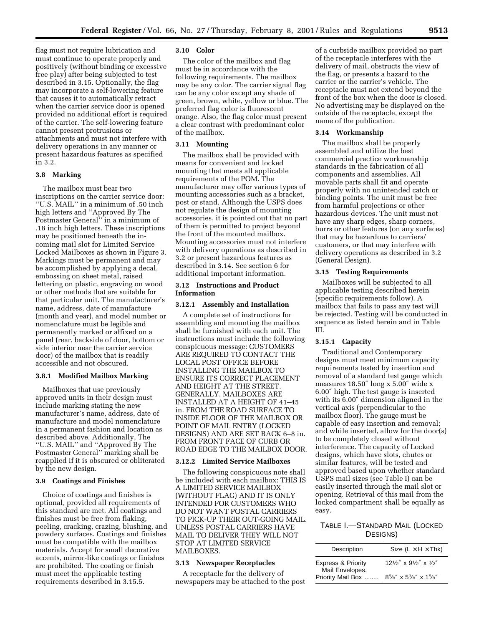flag must not require lubrication and must continue to operate properly and positively (without binding or excessive free play) after being subjected to test described in 3.15. Optionally, the flag may incorporate a self-lowering feature that causes it to automatically retract when the carrier service door is opened provided no additional effort is required of the carrier. The self-lowering feature cannot present protrusions or attachments and must not interfere with delivery operations in any manner or present hazardous features as specified in 3.2.

## **3.8 Marking**

The mailbox must bear two inscriptions on the carrier service door: ''U.S. MAIL'' in a minimum of .50 inch high letters and ''Approved By The Postmaster General'' in a minimum of .18 inch high letters. These inscriptions may be positioned beneath the incoming mail slot for Limited Service Locked Mailboxes as shown in Figure 3. Markings must be permanent and may be accomplished by applying a decal, embossing on sheet metal, raised lettering on plastic, engraving on wood or other methods that are suitable for that particular unit. The manufacturer's name, address, date of manufacture (month and year), and model number or nomenclature must be legible and permanently marked or affixed on a panel (rear, backside of door, bottom or side interior near the carrier service door) of the mailbox that is readily accessible and not obscured.

## **3.8.1 Modified Mailbox Marking**

Mailboxes that use previously approved units in their design must include marking stating the new manufacturer's name, address, date of manufacture and model nomenclature in a permanent fashion and location as described above. Additionally, The ''U.S. MAIL'' and ''Approved By The Postmaster General'' marking shall be reapplied if it is obscured or obliterated by the new design.

## **3.9 Coatings and Finishes**

Choice of coatings and finishes is optional, provided all requirements of this standard are met. All coatings and finishes must be free from flaking, peeling, cracking, crazing, blushing, and powdery surfaces. Coatings and finishes must be compatible with the mailbox materials. Accept for small decorative accents, mirror-like coatings or finishes are prohibited. The coating or finish must meet the applicable testing requirements described in 3.15.5.

#### **3.10 Color**

The color of the mailbox and flag must be in accordance with the following requirements. The mailbox may be any color. The carrier signal flag can be any color except any shade of green, brown, white, yellow or blue. The preferred flag color is fluorescent orange. Also, the flag color must present a clear contrast with predominant color of the mailbox.

## **3.11 Mounting**

The mailbox shall be provided with means for convenient and locked mounting that meets all applicable requirements of the POM. The manufacturer may offer various types of mounting accessories such as a bracket, post or stand. Although the USPS does not regulate the design of mounting accessories, it is pointed out that no part of them is permitted to project beyond the front of the mounted mailbox. Mounting accessories must not interfere with delivery operations as described in 3.2 or present hazardous features as described in 3.14. See section 6 for additional important information.

## **3.12 Instructions and Product Information**

#### **3.12.1 Assembly and Installation**

A complete set of instructions for assembling and mounting the mailbox shall be furnished with each unit. The instructions must include the following conspicuous message: CUSTOMERS ARE REQUIRED TO CONTACT THE LOCAL POST OFFICE BEFORE INSTALLING THE MAILBOX TO ENSURE ITS CORRECT PLACEMENT AND HEIGHT AT THE STREET. GENERALLY, MAILBOXES ARE INSTALLED AT A HEIGHT OF 41–45 in. FROM THE ROAD SURFACE TO INSIDE FLOOR OF THE MAILBOX OR POINT OF MAIL ENTRY (LOCKED DESIGNS) AND ARE SET BACK 6–8 in. FROM FRONT FACE OF CURB OR ROAD EDGE TO THE MAILBOX DOOR.

## **3.12.2 Limited Service Mailboxes**

The following conspicuous note shall be included with each mailbox: THIS IS A LIMITED SERVICE MAILBOX (WITHOUT FLAG) AND IT IS ONLY INTENDED FOR CUSTOMERS WHO DO NOT WANT POSTAL CARRIERS TO PICK-UP THEIR OUT-GOING MAIL. UNLESS POSTAL CARRIERS HAVE MAIL TO DELIVER THEY WILL NOT STOP AT LIMITED SERVICE MAILBOXES.

### **3.13 Newspaper Receptacles**

A receptacle for the delivery of newspapers may be attached to the post

of a curbside mailbox provided no part of the receptacle interferes with the delivery of mail, obstructs the view of the flag, or presents a hazard to the carrier or the carrier's vehicle. The receptacle must not extend beyond the front of the box when the door is closed. No advertising may be displayed on the outside of the receptacle, except the name of the publication.

#### **3.14 Workmanship**

The mailbox shall be properly assembled and utilize the best commercial practice workmanship standards in the fabrication of all components and assemblies. All movable parts shall fit and operate properly with no unintended catch or binding points. The unit must be free from harmful projections or other hazardous devices. The unit must not have any sharp edges, sharp corners, burrs or other features (on any surfaces) that may be hazardous to carriers/ customers, or that may interfere with delivery operations as described in 3.2 (General Design).

#### **3.15 Testing Requirements**

Mailboxes will be subjected to all applicable testing described herein (specific requirements follow). A mailbox that fails to pass any test will be rejected. Testing will be conducted in sequence as listed herein and in Table III.

## **3.15.1 Capacity**

Traditional and Contemporary designs must meet minimum capacity requirements tested by insertion and removal of a standard test gauge which measures 18.50″ long x 5.00″ wide x 6.00″ high. The test gauge is inserted with its 6.00″ dimension aligned in the vertical axis (perpendicular to the mailbox floor). The gauge must be capable of easy insertion and removal; and while inserted, allow for the door(s) to be completely closed without interference. The capacity of Locked designs, which have slots, chutes or similar features, will be tested and approved based upon whether standard USPS mail sizes (see Table I) can be easily inserted through the mail slot or opening. Retrieval of this mail from the locked compartment shall be equally as easy.

# TABLE I.—STANDARD MAIL (LOCKED DESIGNS)

| Description                                                           | Size (L $\times$ H $\times$ Thk) |
|-----------------------------------------------------------------------|----------------------------------|
| <b>Express &amp; Priority</b><br>Mail Envelopes.<br>Priority Mail Box | 121/2" x 91/2" x 1/2"            |
|                                                                       | 85/8" x 53/8" x 15/8"            |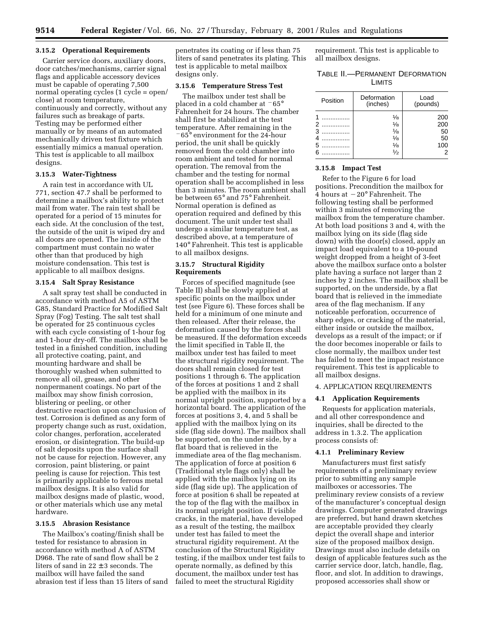## **3.15.2 Operational Requirements**

Carrier service doors, auxiliary doors, door catches/mechanisms, carrier signal flags and applicable accessory devices must be capable of operating 7,500 normal operating cycles (1 cycle = open/ close) at room temperature, continuously and correctly, without any failures such as breakage of parts. Testing may be performed either manually or by means of an automated mechanically driven test fixture which essentially mimics a manual operation. This test is applicable to all mailbox designs.

## **3.15.3 Water-Tightness**

A rain test in accordance with UL 771, section 47.7 shall be performed to determine a mailbox's ability to protect mail from water. The rain test shall be operated for a period of 15 minutes for each side. At the conclusion of the test, the outside of the unit is wiped dry and all doors are opened. The inside of the compartment must contain no water other than that produced by high moisture condensation. This test is applicable to all mailbox designs.

#### **3.15.4 Salt Spray Resistance**

A salt spray test shall be conducted in accordance with method A5 of ASTM G85, Standard Practice for Modified Salt Spray (Fog) Testing. The salt test shall be operated for 25 continuous cycles with each cycle consisting of 1-hour fog and 1-hour dry-off. The mailbox shall be tested in a finished condition, including all protective coating, paint, and mounting hardware and shall be thoroughly washed when submitted to remove all oil, grease, and other nonpermanent coatings. No part of the mailbox may show finish corrosion, blistering or peeling, or other destructive reaction upon conclusion of test. Corrosion is defined as any form of property change such as rust, oxidation, color changes, perforation, accelerated erosion, or disintegration. The build-up of salt deposits upon the surface shall not be cause for rejection. However, any corrosion, paint blistering, or paint peeling is cause for rejection. This test is primarily applicable to ferrous metal mailbox designs. It is also valid for mailbox designs made of plastic, wood, or other materials which use any metal hardware.

### **3.15.5 Abrasion Resistance**

The Mailbox's coating/finish shall be tested for resistance to abrasion in accordance with method A of ASTM D968. The rate of sand flow shall be 2 liters of sand in  $22 \pm 3$  seconds. The mailbox will have failed the sand abrasion test if less than 15 liters of sand penetrates its coating or if less than 75 liters of sand penetrates its plating. This test is applicable to metal mailbox designs only.

#### **3.15.6 Temperature Stress Test**

The mailbox under test shall be placed in a cold chamber at  $-65^{\circ}$ Fahrenheit for 24 hours. The chamber shall first be stabilized at the test temperature. After remaining in the  $-65^\circ$  environment for the 24-hour period, the unit shall be quickly removed from the cold chamber into room ambient and tested for normal operation. The removal from the chamber and the testing for normal operation shall be accomplished in less than 3 minutes. The room ambient shall be between 65° and 75° Fahrenheit. Normal operation is defined as operation required and defined by this document. The unit under test shall undergo a similar temperature test, as described above, at a temperature of 140° Fahrenheit. This test is applicable to all mailbox designs.

### **3.15.7 Structural Rigidity Requirements**

Forces of specified magnitude (see Table II) shall be slowly applied at specific points on the mailbox under test (see Figure 6). These forces shall be held for a minimum of one minute and then released. After their release, the deformation caused by the forces shall be measured. If the deformation exceeds the limit specified in Table II, the mailbox under test has failed to meet the structural rigidity requirement. The doors shall remain closed for test positions 1 through 6. The application of the forces at positions 1 and 2 shall be applied with the mailbox in its normal upright position, supported by a horizontal board. The application of the forces at positions 3, 4, and 5 shall be applied with the mailbox lying on its side (flag side down). The mailbox shall be supported, on the under side, by a flat board that is relieved in the immediate area of the flag mechanism. The application of force at position 6 (Traditional style flags only) shall be applied with the mailbox lying on its side (flag side up). The application of force at position 6 shall be repeated at the top of the flag with the mailbox in its normal upright position. If visible cracks, in the material, have developed as a result of the testing, the mailbox under test has failed to meet the structural rigidity requirement. At the conclusion of the Structural Rigidity testing, if the mailbox under test fails to operate normally, as defined by this document, the mailbox under test has failed to meet the structural Rigidity

requirement. This test is applicable to all mailbox designs.

| TABLE II.-PERMANENT DEFORMATION |  |
|---------------------------------|--|
| <b>LIMITS</b>                   |  |

| Position                   | Deformation<br>(inches)                                                                            | Load<br>(pounds)                                |  |
|----------------------------|----------------------------------------------------------------------------------------------------|-------------------------------------------------|--|
| 1<br>2<br>3<br>4<br>5<br>6 | $\frac{1}{8}$<br>$\frac{1}{8}$<br>$\frac{1}{8}$<br>$\frac{1}{8}$<br>$\frac{1}{8}$<br>$\frac{1}{2}$ | 200<br>200<br>50<br>50<br>100<br>$\overline{2}$ |  |

## **3.15.8 Impact Test**

Refer to the Figure 6 for load positions. Precondition the mailbox for 4 hours at  $-20^\circ$  Fahrenheit. The following testing shall be performed within 3 minutes of removing the mailbox from the temperature chamber. At both load positions 3 and 4, with the mailbox lying on its side (flag side down) with the door(s) closed, apply an impact load equivalent to a 10-pound weight dropped from a height of 3-feet above the mailbox surface onto a bolster plate having a surface not larger than 2 inches by 2 inches. The mailbox shall be supported, on the underside, by a flat board that is relieved in the immediate area of the flag mechanism. If any noticeable perforation, occurrence of sharp edges, or cracking of the material, either inside or outside the mailbox, develops as a result of the impact; or if the door becomes inoperable or fails to close normally, the mailbox under test has failed to meet the impact resistance requirement. This test is applicable to all mailbox designs.

#### 4. APPLICATION REQUIREMENTS

#### **4.1 Application Requirements**

Requests for application materials, and all other correspondence and inquiries, shall be directed to the address in 1.3.2. The application process consists of:

## **4.1.1 Preliminary Review**

Manufacturers must first satisfy requirements of a preliminary review prior to submitting any sample mailboxes or accessories. The preliminary review consists of a review of the manufacturer's conceptual design drawings. Computer generated drawings are preferred, but hand drawn sketches are acceptable provided they clearly depict the overall shape and interior size of the proposed mailbox design. Drawings must also include details on design of applicable features such as the carrier service door, latch, handle, flag, floor, and slot. In addition to drawings, proposed accessories shall show or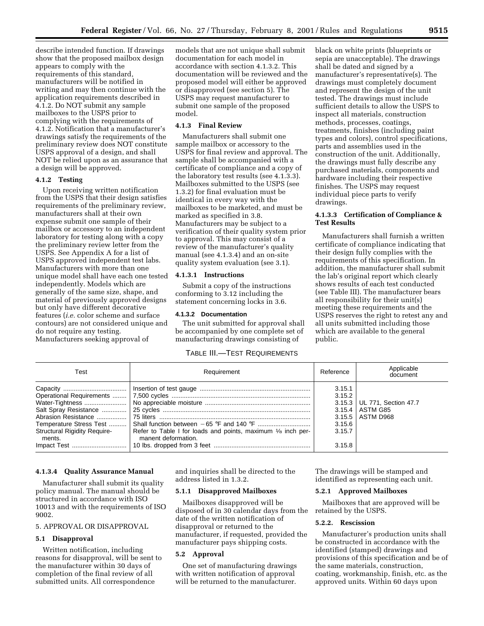describe intended function. If drawings show that the proposed mailbox design appears to comply with the requirements of this standard, manufacturers will be notified in writing and may then continue with the application requirements described in 4.1.2. Do NOT submit any sample mailboxes to the USPS prior to complying with the requirements of 4.1.2. Notification that a manufacturer's drawings satisfy the requirements of the preliminary review does NOT constitute USPS approval of a design, and shall NOT be relied upon as an assurance that a design will be approved.

# **4.1.2 Testing**

Upon receiving written notification from the USPS that their design satisfies requirements of the preliminary review, manufacturers shall at their own expense submit one sample of their mailbox or accessory to an independent laboratory for testing along with a copy the preliminary review letter from the USPS. See Appendix A for a list of USPS approved independent test labs. Manufacturers with more than one unique model shall have each one tested independently. Models which are generally of the same size, shape, and material of previously approved designs but only have different decorative features (*i.e.* color scheme and surface contours) are not considered unique and do not require any testing. Manufacturers seeking approval of

models that are not unique shall submit documentation for each model in accordance with section 4.1.3.2. This documentation will be reviewed and the proposed model will either be approved or disapproved (see section 5). The USPS may request manufacturer to submit one sample of the proposed model.

## **4.1.3 Final Review**

Manufacturers shall submit one sample mailbox or accessory to the USPS for final review and approval. The sample shall be accompanied with a certificate of compliance and a copy of the laboratory test results (see 4.1.3.3). Mailboxes submitted to the USPS (see 1.3.2) for final evaluation must be identical in every way with the mailboxes to be marketed, and must be marked as specified in 3.8. Manufacturers may be subject to a verification of their quality system prior to approval. This may consist of a review of the manufacturer's quality manual (see 4.1.3.4) and an on-site quality system evaluation (see 3.1).

## **4.1.3.1 Instructions**

Submit a copy of the instructions conforming to 3.12 including the statement concerning locks in 3.6.

#### **4.1.3.2 Documentation**

The unit submitted for approval shall be accompanied by one complete set of manufacturing drawings consisting of

# TABLE III.—TEST REQUIREMENTS

black on white prints (blueprints or sepia are unacceptable). The drawings shall be dated and signed by a manufacturer's representative(s). The drawings must completely document and represent the design of the unit tested. The drawings must include sufficient details to allow the USPS to inspect all materials, construction methods, processes, coatings, treatments, finishes (including paint types and colors), control specifications, parts and assemblies used in the construction of the unit. Additionally, the drawings must fully describe any purchased materials, components and hardware including their respective finishes. The USPS may request individual piece parts to verify drawings.

## **4.1.3.3 Certification of Compliance & Test Results**

Manufacturers shall furnish a written certificate of compliance indicating that their design fully complies with the requirements of this specification. In addition, the manufacturer shall submit the lab's original report which clearly shows results of each test conducted (see Table III). The manufacturer bears all responsibility for their unit(s) meeting these requirements and the USPS reserves the right to retest any and all units submitted including those which are available to the general public.

| Test                                                                                                         | Requirement                                                                         | Reference                                                                    | Applicable<br>document                        |
|--------------------------------------------------------------------------------------------------------------|-------------------------------------------------------------------------------------|------------------------------------------------------------------------------|-----------------------------------------------|
| Salt Spray Resistance<br>Abrasion Resistance<br><b>Structural Rigidity Require-</b><br>ments.<br>Impact Test | Refer to Table I for loads and points, maximum 1/8 inch per-<br>manent deformation. | 3.15.1<br>3.15.2<br>3.15.3<br>3.15.4<br>3.15.5<br>3.15.6<br>3.15.7<br>3.15.8 | UL 771, Section 47.7<br>ASTM G85<br>ASTM D968 |

#### **4.1.3.4 Quality Assurance Manual**

Manufacturer shall submit its quality policy manual. The manual should be structured in accordance with ISO 10013 and with the requirements of ISO 9002.

# 5. APPROVAL OR DISAPPROVAL

## **5.1 Disapproval**

Written notification, including reasons for disapproval, will be sent to the manufacturer within 30 days of completion of the final review of all submitted units. All correspondence

and inquiries shall be directed to the address listed in 1.3.2.

#### **5.1.1 Disapproved Mailboxes**

Mailboxes disapproved will be disposed of in 30 calendar days from the date of the written notification of disapproval or returned to the manufacturer, if requested, provided the manufacturer pays shipping costs.

#### **5.2 Approval**

One set of manufacturing drawings with written notification of approval will be returned to the manufacturer.

The drawings will be stamped and identified as representing each unit.

#### **5.2.1 Approved Mailboxes**

Mailboxes that are approved will be retained by the USPS.

#### **5.2.2. Rescission**

Manufacturer's production units shall be constructed in accordance with the identified (stamped) drawings and provisions of this specification and be of the same materials, construction, coating, workmanship, finish, etc. as the approved units. Within 60 days upon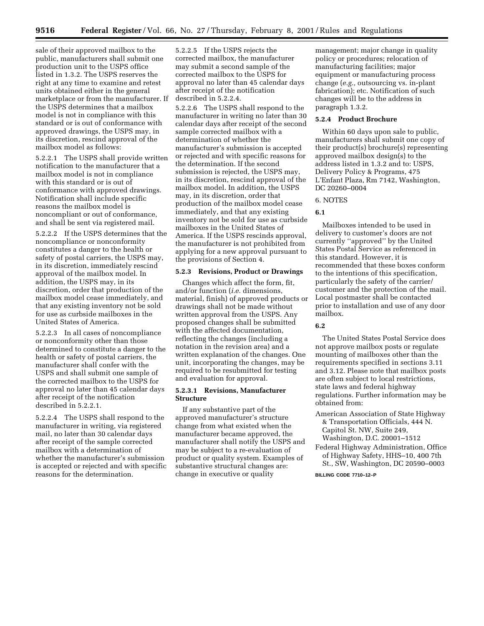sale of their approved mailbox to the public, manufacturers shall submit one production unit to the USPS office listed in 1.3.2. The USPS reserves the right at any time to examine and retest units obtained either in the general marketplace or from the manufacturer. If the USPS determines that a mailbox model is not in compliance with this standard or is out of conformance with approved drawings, the USPS may, in its discretion, rescind approval of the mailbox model as follows:

5.2.2.1 The USPS shall provide written notification to the manufacturer that a mailbox model is not in compliance with this standard or is out of conformance with approved drawings. Notification shall include specific reasons the mailbox model is noncompliant or out of conformance, and shall be sent via registered mail.

5.2.2.2 If the USPS determines that the noncompliance or nonconformity constitutes a danger to the health or safety of postal carriers, the USPS may, in its discretion, immediately rescind approval of the mailbox model. In addition, the USPS may, in its discretion, order that production of the mailbox model cease immediately, and that any existing inventory not be sold for use as curbside mailboxes in the United States of America.

5.2.2.3 In all cases of noncompliance or nonconformity other than those determined to constitute a danger to the health or safety of postal carriers, the manufacturer shall confer with the USPS and shall submit one sample of the corrected mailbox to the USPS for approval no later than 45 calendar days after receipt of the notification described in 5.2.2.1.

5.2.2.4 The USPS shall respond to the manufacturer in writing, via registered mail, no later than 30 calendar days after receipt of the sample corrected mailbox with a determination of whether the manufacturer's submission is accepted or rejected and with specific reasons for the determination.

5.2.2.5 If the USPS rejects the corrected mailbox, the manufacturer may submit a second sample of the corrected mailbox to the USPS for approval no later than 45 calendar days after receipt of the notification described in 5.2.2.4.

5.2.2.6 The USPS shall respond to the manufacturer in writing no later than 30 calendar days after receipt of the second sample corrected mailbox with a determination of whether the manufacturer's submission is accepted or rejected and with specific reasons for the determination. If the second submission is rejected, the USPS may, in its discretion, rescind approval of the mailbox model. In addition, the USPS may, in its discretion, order that production of the mailbox model cease immediately, and that any existing inventory not be sold for use as curbside mailboxes in the United States of America. If the USPS rescinds approval, the manufacturer is not prohibited from applying for a new approval pursuant to the provisions of Section 4.

## **5.2.3 Revisions, Product or Drawings**

Changes which affect the form, fit, and/or function (*i.e.* dimensions, material, finish) of approved products or drawings shall not be made without written approval from the USPS. Any proposed changes shall be submitted with the affected documentation, reflecting the changes (including a notation in the revision area) and a written explanation of the changes. One unit, incorporating the changes, may be required to be resubmitted for testing and evaluation for approval.

## **5.2.3.1 Revisions, Manufacturer Structure**

If any substantive part of the approved manufacturer's structure change from what existed when the manufacturer became approved, the manufacturer shall notify the USPS and may be subject to a re-evaluation of product or quality system. Examples of substantive structural changes are: change in executive or quality

management; major change in quality policy or procedures; relocation of manufacturing facilities; major equipment or manufacturing process change (*e.g.,* outsourcing vs. in-plant fabrication); etc. Notification of such changes will be to the address in paragraph 1.3.2.

#### **5.2.4 Product Brochure**

Within 60 days upon sale to public, manufacturers shall submit one copy of their product(s) brochure(s) representing approved mailbox design(s) to the address listed in 1.3.2 and to: USPS, Delivery Policy & Programs, 475 L'Enfant Plaza, Rm 7142, Washington, DC 20260–0004

## 6. NOTES

# **6.1**

Mailboxes intended to be used in delivery to customer's doors are not currently ''approved'' by the United States Postal Service as referenced in this standard. However, it is recommended that these boxes conform to the intentions of this specification, particularly the safety of the carrier/ customer and the protection of the mail. Local postmaster shall be contacted prior to installation and use of any door mailbox.

# **6.2**

The United States Postal Service does not approve mailbox posts or regulate mounting of mailboxes other than the requirements specified in sections 3.11 and 3.12. Please note that mailbox posts are often subject to local restrictions, state laws and federal highway regulations. Further information may be obtained from:

- American Association of State Highway & Transportation Officials, 444 N. Capitol St. NW, Suite 249, Washington, D.C. 20001–1512
- Federal Highway Administration, Office of Highway Safety, HHS–10, 400 7th St., SW, Washington, DC 20590–0003

## **BILLING CODE 7710–12–P**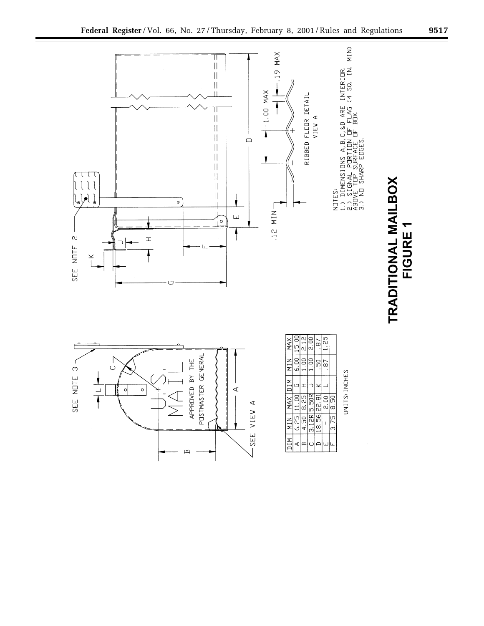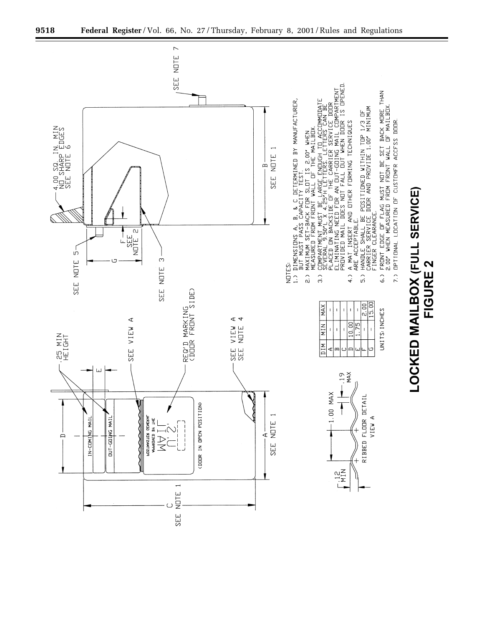![](_page_9_Figure_0.jpeg)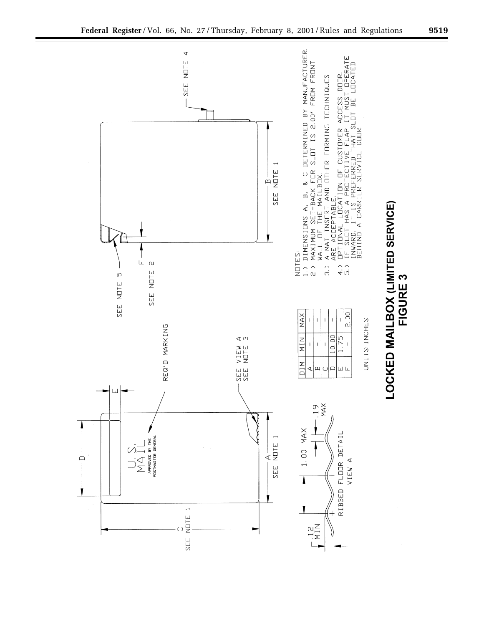![](_page_10_Figure_0.jpeg)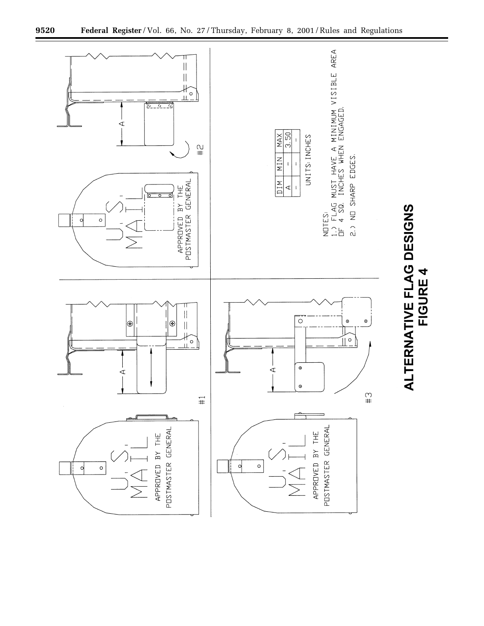![](_page_11_Figure_0.jpeg)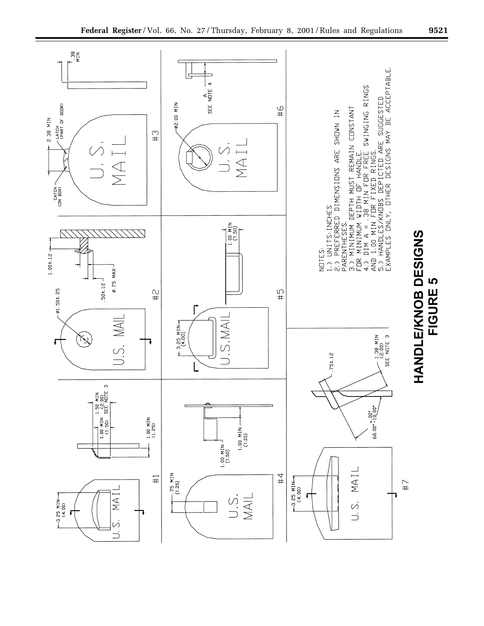![](_page_12_Figure_0.jpeg)